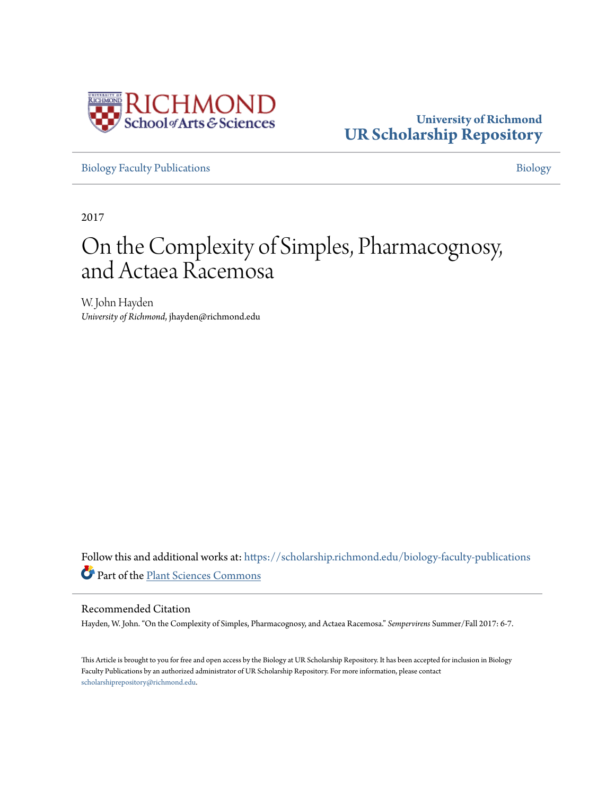

### **University of Richmond [UR Scholarship Repository](https://scholarship.richmond.edu/?utm_source=scholarship.richmond.edu%2Fbiology-faculty-publications%2F196&utm_medium=PDF&utm_campaign=PDFCoverPages)**

[Biology Faculty Publications](https://scholarship.richmond.edu/biology-faculty-publications?utm_source=scholarship.richmond.edu%2Fbiology-faculty-publications%2F196&utm_medium=PDF&utm_campaign=PDFCoverPages) **[Biology](https://scholarship.richmond.edu/biology?utm_source=scholarship.richmond.edu%2Fbiology-faculty-publications%2F196&utm_medium=PDF&utm_campaign=PDFCoverPages)** 

2017

### On the Complexity of Simples, Pharmacognosy, and Actaea Racemosa

W. John Hayden *University of Richmond*, jhayden@richmond.edu

Follow this and additional works at: [https://scholarship.richmond.edu/biology-faculty-publications](https://scholarship.richmond.edu/biology-faculty-publications?utm_source=scholarship.richmond.edu%2Fbiology-faculty-publications%2F196&utm_medium=PDF&utm_campaign=PDFCoverPages) Part of the [Plant Sciences Commons](http://network.bepress.com/hgg/discipline/102?utm_source=scholarship.richmond.edu%2Fbiology-faculty-publications%2F196&utm_medium=PDF&utm_campaign=PDFCoverPages)

#### Recommended Citation

Hayden, W. John. "On the Complexity of Simples, Pharmacognosy, and Actaea Racemosa." *Sempervirens* Summer/Fall 2017: 6-7.

This Article is brought to you for free and open access by the Biology at UR Scholarship Repository. It has been accepted for inclusion in Biology Faculty Publications by an authorized administrator of UR Scholarship Repository. For more information, please contact [scholarshiprepository@richmond.edu.](mailto:scholarshiprepository@richmond.edu)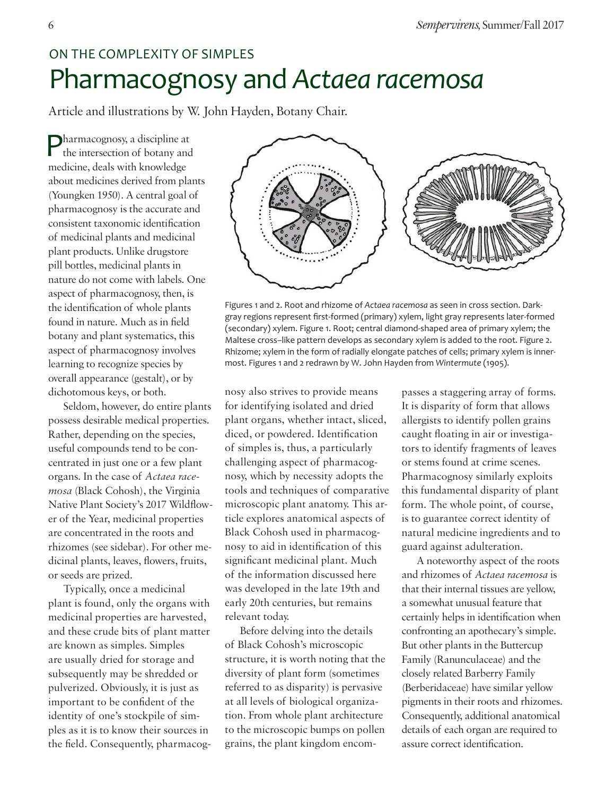### On the Complexity of simples

# Pharmacognosy and *Actaea racemosa*

Article and illustrations by W. John Hayden, Botany Chair.

Pharmacognosy, a discipline at the intersection of botany and medicine, deals with knowledge about medicines derived from plants (Youngken 1950). A central goal of pharmacognosy is the accurate and consistent taxonomic identification of medicinal plants and medicinal plant products. Unlike drugstore pill bottles, medicinal plants in nature do not come with labels. One aspect of pharmacognosy, then, is the identification of whole plants found in nature. Much as in field botany and plant systematics, this aspect of pharmacognosy involves learning to recognize species by overall appearance (gestalt), or by dichotomous keys, or both.

Seldom, however, do entire plants possess desirable medical properties. Rather, depending on the species, useful compounds tend to be concentrated in just one or a few plant organs. In the case of *Actaea racemosa* (Black Cohosh), the Virginia Native Plant Society's 2017 Wildflower of the Year, medicinal properties are concentrated in the roots and rhizomes (see sidebar). For other medicinal plants, leaves, flowers, fruits, or seeds are prized.

Typically, once a medicinal plant is found, only the organs with medicinal properties are harvested, and these crude bits of plant matter are known as simples. Simples are usually dried for storage and subsequently may be shredded or pulverized. Obviously, it is just as important to be confident of the identity of one's stockpile of simples as it is to know their sources in the field. Consequently, pharmacog-



Figures 1 and 2. Root and rhizome of *Actaea racemosa* as seen in cross section. Darkgray regions represent first-formed (primary) xylem, light gray represents later-formed (secondary) xylem. Figure 1. Root; central diamond-shaped area of primary xylem; the Maltese cross–like pattern develops as secondary xylem is added to the root. Figure 2. Rhizome; xylem in the form of radially elongate patches of cells; primary xylem is innermost. Figures 1 and 2 redrawn by W. John Hayden from *Wintermute* (1905).

nosy also strives to provide means for identifying isolated and dried plant organs, whether intact, sliced, diced, or powdered. Identification of simples is, thus, a particularly challenging aspect of pharmacognosy, which by necessity adopts the tools and techniques of comparative microscopic plant anatomy. This article explores anatomical aspects of Black Cohosh used in pharmacognosy to aid in identification of this significant medicinal plant. Much of the information discussed here was developed in the late 19th and early 20th centuries, but remains relevant today.

Before delving into the details of Black Cohosh's microscopic structure, it is worth noting that the diversity of plant form (sometimes referred to as disparity) is pervasive at all levels of biological organization. From whole plant architecture to the microscopic bumps on pollen grains, the plant kingdom encompasses a staggering array of forms. It is disparity of form that allows allergists to identify pollen grains caught floating in air or investigators to identify fragments of leaves or stems found at crime scenes. Pharmacognosy similarly exploits this fundamental disparity of plant form. The whole point, of course, is to guarantee correct identity of natural medicine ingredients and to guard against adulteration.

A noteworthy aspect of the roots and rhizomes of *Actaea racemosa* is that their internal tissues are yellow, a somewhat unusual feature that certainly helps in identification when confronting an apothecary's simple. But other plants in the Buttercup Family (Ranunculaceae) and the closely related Barberry Family (Berberidaceae) have similar yellow pigments in their roots and rhizomes. Consequently, additional anatomical details of each organ are required to assure correct identification.